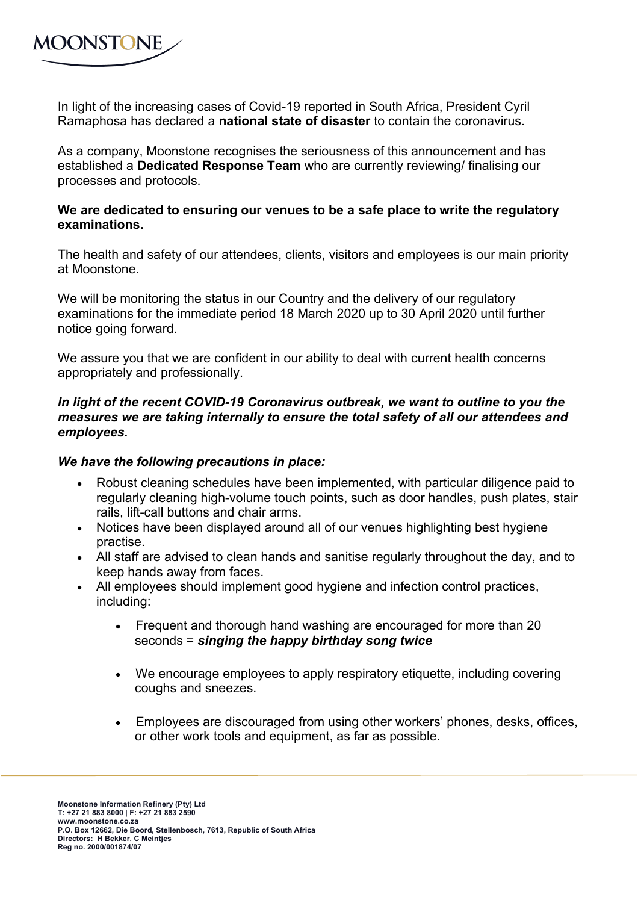

In light of the increasing cases of Covid-19 reported in South Africa, President Cyril Ramaphosa has declared a **national state of disaster** to contain the coronavirus.

As a company, Moonstone recognises the seriousness of this announcement and has established a **Dedicated Response Team** who are currently reviewing/ finalising our processes and protocols.

## **We are dedicated to ensuring our venues to be a safe place to write the regulatory examinations.**

The health and safety of our attendees, clients, visitors and employees is our main priority at Moonstone.

We will be monitoring the status in our Country and the delivery of our regulatory examinations for the immediate period 18 March 2020 up to 30 April 2020 until further notice going forward.

We assure you that we are confident in our ability to deal with current health concerns appropriately and professionally.

## In light of the recent COVID-19 Coronavirus outbreak, we want to outline to you the *measures we are taking internally to ensure the total safety of all our attendees and employees.*

## *We have the following precautions in place:*

- Robust cleaning schedules have been implemented, with particular diligence paid to regularly cleaning high-volume touch points, such as door handles, push plates, stair rails, lift-call buttons and chair arms.
- Notices have been displayed around all of our venues highlighting best hygiene practise.
- All staff are advised to clean hands and sanitise regularly throughout the day, and to keep hands away from faces.
- All employees should implement good hygiene and infection control practices, including:
	- Frequent and thorough hand washing are encouraged for more than 20 seconds = *singing the happy birthday song twice*
	- We encourage employees to apply respiratory etiquette, including covering coughs and sneezes.
	- Employees are discouraged from using other workers' phones, desks, offices, or other work tools and equipment, as far as possible.